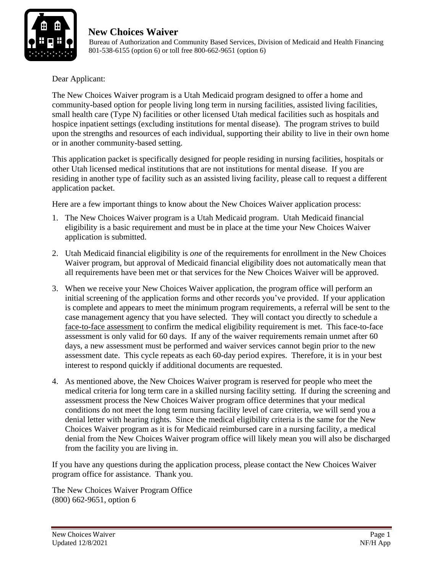

 Bureau of Authorization and Community Based Services, Division of Medicaid and Health Financing 801-538-6155 (option 6) or toll free 800-662-9651 (option 6)

Dear Applicant:

The New Choices Waiver program is a Utah Medicaid program designed to offer a home and community-based option for people living long term in nursing facilities, assisted living facilities, small health care (Type N) facilities or other licensed Utah medical facilities such as hospitals and hospice inpatient settings (excluding institutions for mental disease). The program strives to build upon the strengths and resources of each individual, supporting their ability to live in their own home or in another community-based setting.

This application packet is specifically designed for people residing in nursing facilities, hospitals or other Utah licensed medical institutions that are not institutions for mental disease. If you are residing in another type of facility such as an assisted living facility, please call to request a different application packet.

Here are a few important things to know about the New Choices Waiver application process:

- 1. The New Choices Waiver program is a Utah Medicaid program. Utah Medicaid financial eligibility is a basic requirement and must be in place at the time your New Choices Waiver application is submitted.
- 2. Utah Medicaid financial eligibility is *one* of the requirements for enrollment in the New Choices Waiver program, but approval of Medicaid financial eligibility does not automatically mean that all requirements have been met or that services for the New Choices Waiver will be approved.
- 3. When we receive your New Choices Waiver application, the program office will perform an initial screening of the application forms and other records you've provided. If your application is complete and appears to meet the minimum program requirements, a referral will be sent to the case management agency that you have selected. They will contact you directly to schedule a face-to-face assessment to confirm the medical eligibility requirement is met. This face-to-face assessment is only valid for 60 days. If any of the waiver requirements remain unmet after 60 days, a new assessment must be performed and waiver services cannot begin prior to the new assessment date. This cycle repeats as each 60-day period expires. Therefore, it is in your best interest to respond quickly if additional documents are requested.
- 4. As mentioned above, the New Choices Waiver program is reserved for people who meet the medical criteria for long term care in a skilled nursing facility setting. If during the screening and assessment process the New Choices Waiver program office determines that your medical conditions do not meet the long term nursing facility level of care criteria, we will send you a denial letter with hearing rights. Since the medical eligibility criteria is the same for the New Choices Waiver program as it is for Medicaid reimbursed care in a nursing facility, a medical denial from the New Choices Waiver program office will likely mean you will also be discharged from the facility you are living in.

If you have any questions during the application process, please contact the New Choices Waiver program office for assistance. Thank you.

The New Choices Waiver Program Office (800) 662-9651, option 6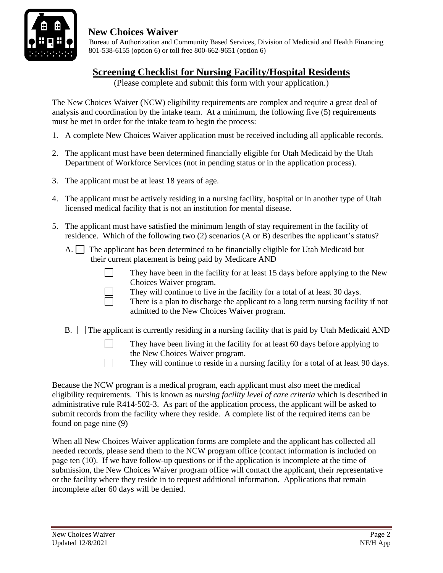

 Bureau of Authorization and Community Based Services, Division of Medicaid and Health Financing 801-538-6155 (option 6) or toll free 800-662-9651 (option 6)

## **Screening Checklist for Nursing Facility/Hospital Residents**

(Please complete and submit this form with your application.)

The New Choices Waiver (NCW) eligibility requirements are complex and require a great deal of analysis and coordination by the intake team. At a minimum, the following five (5) requirements must be met in order for the intake team to begin the process:

- 1. A complete New Choices Waiver application must be received including all applicable records.
- 2. The applicant must have been determined financially eligible for Utah Medicaid by the Utah Department of Workforce Services (not in pending status or in the application process).
- 3. The applicant must be at least 18 years of age.
- 4. The applicant must be actively residing in a nursing facility, hospital or in another type of Utah licensed medical facility that is not an institution for mental disease.
- 5. The applicant must have satisfied the minimum length of stay requirement in the facility of residence. Which of the following two (2) scenarios (A or B) describes the applicant's status?
	- A.  $\Box$  The applicant has been determined to be financially eligible for Utah Medicaid but their current placement is being paid by Medicare AND
		-

They have been in the facility for at least 15 days before applying to the New Choices Waiver program.

- They will continue to live in the facility for a total of at least 30 days.
- There is a plan to discharge the applicant to a long term nursing facility if not admitted to the New Choices Waiver program.
- $B.$  The applicant is currently residing in a nursing facility that is paid by Utah Medicaid AND
	- They have been living in the facility for at least 60 days before applying to the New Choices Waiver program.
	- They will continue to reside in a nursing facility for a total of at least 90 days.

Because the NCW program is a medical program, each applicant must also meet the medical eligibility requirements. This is known as *nursing facility level of care criteria* which is described in administrative rule R414-502-3. As part of the application process, the applicant will be asked to submit records from the facility where they reside. A complete list of the required items can be found on page nine (9)

When all New Choices Waiver application forms are complete and the applicant has collected all needed records, please send them to the NCW program office (contact information is included on page ten (10). If we have follow-up questions or if the application is incomplete at the time of submission, the New Choices Waiver program office will contact the applicant, their representative or the facility where they reside in to request additional information. Applications that remain incomplete after 60 days will be denied.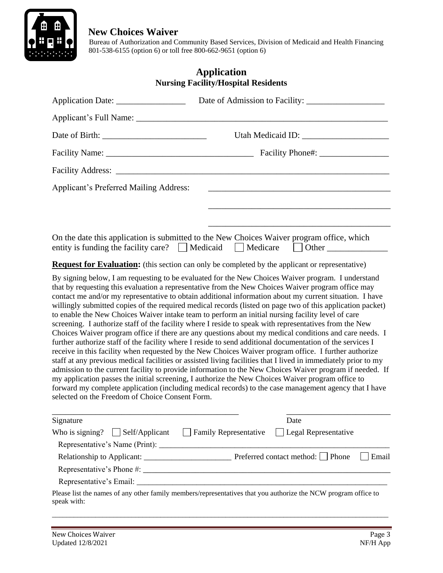

 Bureau of Authorization and Community Based Services, Division of Medicaid and Health Financing 801-538-6155 (option 6) or toll free 800-662-9651 (option 6)

|                                                 | <b>Application</b><br><b>Nursing Facility/Hospital Residents</b>                                                                                                                                                                                                                                                                                                                                                                                                                                                                                                                                                                                                                                                                                                                                                                                                                                                                                                                                                                                                                                                                                                                                                                                                                                                                                                                                                             |
|-------------------------------------------------|------------------------------------------------------------------------------------------------------------------------------------------------------------------------------------------------------------------------------------------------------------------------------------------------------------------------------------------------------------------------------------------------------------------------------------------------------------------------------------------------------------------------------------------------------------------------------------------------------------------------------------------------------------------------------------------------------------------------------------------------------------------------------------------------------------------------------------------------------------------------------------------------------------------------------------------------------------------------------------------------------------------------------------------------------------------------------------------------------------------------------------------------------------------------------------------------------------------------------------------------------------------------------------------------------------------------------------------------------------------------------------------------------------------------------|
|                                                 |                                                                                                                                                                                                                                                                                                                                                                                                                                                                                                                                                                                                                                                                                                                                                                                                                                                                                                                                                                                                                                                                                                                                                                                                                                                                                                                                                                                                                              |
|                                                 |                                                                                                                                                                                                                                                                                                                                                                                                                                                                                                                                                                                                                                                                                                                                                                                                                                                                                                                                                                                                                                                                                                                                                                                                                                                                                                                                                                                                                              |
|                                                 |                                                                                                                                                                                                                                                                                                                                                                                                                                                                                                                                                                                                                                                                                                                                                                                                                                                                                                                                                                                                                                                                                                                                                                                                                                                                                                                                                                                                                              |
|                                                 |                                                                                                                                                                                                                                                                                                                                                                                                                                                                                                                                                                                                                                                                                                                                                                                                                                                                                                                                                                                                                                                                                                                                                                                                                                                                                                                                                                                                                              |
|                                                 |                                                                                                                                                                                                                                                                                                                                                                                                                                                                                                                                                                                                                                                                                                                                                                                                                                                                                                                                                                                                                                                                                                                                                                                                                                                                                                                                                                                                                              |
| <b>Applicant's Preferred Mailing Address:</b>   |                                                                                                                                                                                                                                                                                                                                                                                                                                                                                                                                                                                                                                                                                                                                                                                                                                                                                                                                                                                                                                                                                                                                                                                                                                                                                                                                                                                                                              |
|                                                 |                                                                                                                                                                                                                                                                                                                                                                                                                                                                                                                                                                                                                                                                                                                                                                                                                                                                                                                                                                                                                                                                                                                                                                                                                                                                                                                                                                                                                              |
|                                                 |                                                                                                                                                                                                                                                                                                                                                                                                                                                                                                                                                                                                                                                                                                                                                                                                                                                                                                                                                                                                                                                                                                                                                                                                                                                                                                                                                                                                                              |
|                                                 | On the date this application is submitted to the New Choices Waiver program office, which<br>entity is funding the facility care? $\Box$ Medicaid $\Box$ Medicare $\Box$ Other $\Box$                                                                                                                                                                                                                                                                                                                                                                                                                                                                                                                                                                                                                                                                                                                                                                                                                                                                                                                                                                                                                                                                                                                                                                                                                                        |
|                                                 | <b>Request for Evaluation:</b> (this section can only be completed by the applicant or representative)                                                                                                                                                                                                                                                                                                                                                                                                                                                                                                                                                                                                                                                                                                                                                                                                                                                                                                                                                                                                                                                                                                                                                                                                                                                                                                                       |
| selected on the Freedom of Choice Consent Form. | By signing below, I am requesting to be evaluated for the New Choices Waiver program. I understand<br>that by requesting this evaluation a representative from the New Choices Waiver program office may<br>contact me and/or my representative to obtain additional information about my current situation. I have<br>willingly submitted copies of the required medical records (listed on page two of this application packet)<br>to enable the New Choices Waiver intake team to perform an initial nursing facility level of care<br>screening. I authorize staff of the facility where I reside to speak with representatives from the New<br>Choices Waiver program office if there are any questions about my medical conditions and care needs. I<br>further authorize staff of the facility where I reside to send additional documentation of the services I<br>receive in this facility when requested by the New Choices Waiver program office. I further authorize<br>staff at any previous medical facilities or assisted living facilities that I lived in immediately prior to my<br>admission to the current facility to provide information to the New Choices Waiver program if needed. If<br>my application passes the initial screening, I authorize the New Choices Waiver program office to<br>forward my complete application (including medical records) to the case management agency that I have |
| Signature                                       | Date                                                                                                                                                                                                                                                                                                                                                                                                                                                                                                                                                                                                                                                                                                                                                                                                                                                                                                                                                                                                                                                                                                                                                                                                                                                                                                                                                                                                                         |
| Who is signing? $\Box$ Self/Applicant           | <b>Family Representative</b><br>Legal Representative                                                                                                                                                                                                                                                                                                                                                                                                                                                                                                                                                                                                                                                                                                                                                                                                                                                                                                                                                                                                                                                                                                                                                                                                                                                                                                                                                                         |
|                                                 |                                                                                                                                                                                                                                                                                                                                                                                                                                                                                                                                                                                                                                                                                                                                                                                                                                                                                                                                                                                                                                                                                                                                                                                                                                                                                                                                                                                                                              |
|                                                 | Preferred contact method: □ Phone<br>Email                                                                                                                                                                                                                                                                                                                                                                                                                                                                                                                                                                                                                                                                                                                                                                                                                                                                                                                                                                                                                                                                                                                                                                                                                                                                                                                                                                                   |

 Representative's Phone #: \_\_\_\_\_\_\_\_\_\_\_\_\_\_\_\_\_\_\_\_\_\_\_\_\_\_\_\_\_\_\_\_\_\_\_\_\_\_\_\_\_\_\_\_\_\_\_\_\_\_\_\_\_\_\_\_\_ Representative's Email: \_\_\_\_\_\_\_\_\_\_\_\_\_\_\_\_\_\_\_\_\_\_\_\_\_\_\_\_\_\_\_\_\_\_\_\_\_\_\_\_\_\_\_\_\_\_\_\_\_\_\_\_\_\_\_\_\_\_\_\_\_\_\_

Please list the names of any other family members/representatives that you authorize the NCW program office to speak with:

\_\_\_\_\_\_\_\_\_\_\_\_\_\_\_\_\_\_\_\_\_\_\_\_\_\_\_\_\_\_\_\_\_\_\_\_\_\_\_\_\_\_\_\_\_\_\_\_\_\_\_\_\_\_\_\_\_\_\_\_\_\_\_\_\_\_\_\_\_\_\_\_\_\_\_\_\_\_\_\_\_\_\_\_\_\_\_\_\_\_\_\_\_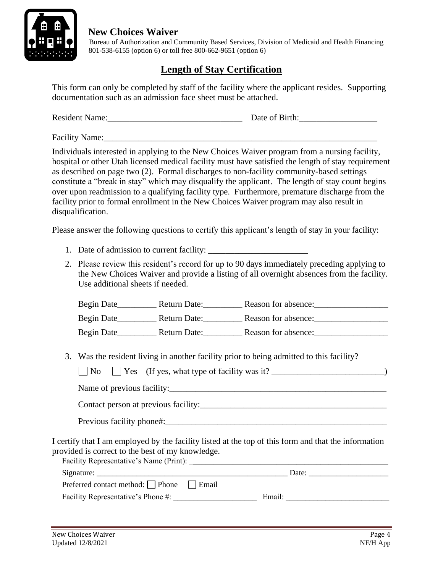

 Bureau of Authorization and Community Based Services, Division of Medicaid and Health Financing 801-538-6155 (option 6) or toll free 800-662-9651 (option 6)

# **Length of Stay Certification**

This form can only be completed by staff of the facility where the applicant resides. Supporting documentation such as an admission face sheet must be attached.

| <b>Resident Name:</b> | Date of Birth: |
|-----------------------|----------------|
|                       |                |

Facility Name:

Individuals interested in applying to the New Choices Waiver program from a nursing facility, hospital or other Utah licensed medical facility must have satisfied the length of stay requirement as described on page two (2). Formal discharges to non-facility community-based settings constitute a "break in stay" which may disqualify the applicant. The length of stay count begins over upon readmission to a qualifying facility type. Furthermore, premature discharge from the facility prior to formal enrollment in the New Choices Waiver program may also result in disqualification.

Please answer the following questions to certify this applicant's length of stay in your facility:

- 1. Date of admission to current facility:
- 2. Please review this resident's record for up to 90 days immediately preceding applying to the New Choices Waiver and provide a listing of all overnight absences from the facility. Use additional sheets if needed.

| Begin Date | Return Date: | Reason for absence: |  |
|------------|--------------|---------------------|--|
| Begin Date | Return Date: | Reason for absence: |  |
| Begin Date | Return Date: | Reason for absence: |  |

3. Was the resident living in another facility prior to being admitted to this facility?

| Name of previous facility:                                                                                                                               |  |
|----------------------------------------------------------------------------------------------------------------------------------------------------------|--|
|                                                                                                                                                          |  |
|                                                                                                                                                          |  |
| I certify that I am employed by the facility listed at the top of this form and that the information<br>provided is correct to the best of my knowledge. |  |
|                                                                                                                                                          |  |
| Preferred contact method: $\Box$ Phone $\Box$ Email                                                                                                      |  |
|                                                                                                                                                          |  |
|                                                                                                                                                          |  |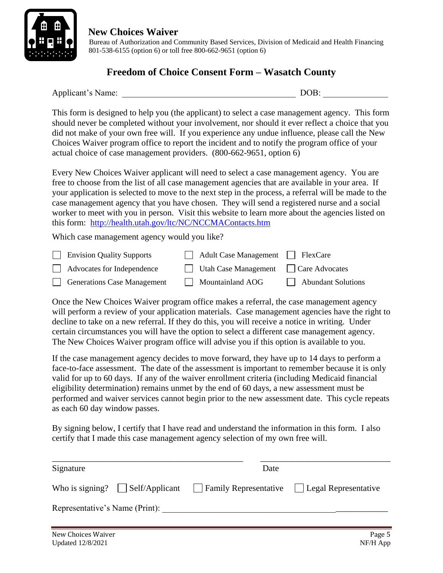

 Bureau of Authorization and Community Based Services, Division of Medicaid and Health Financing 801-538-6155 (option 6) or toll free 800-662-9651 (option 6)

## **Freedom of Choice Consent Form – Wasatch County**

Applicant's Name:  $DOB$ :

This form is designed to help you (the applicant) to select a case management agency. This form should never be completed without your involvement, nor should it ever reflect a choice that you did not make of your own free will. If you experience any undue influence, please call the New Choices Waiver program office to report the incident and to notify the program office of your actual choice of case management providers. (800-662-9651, option 6)

Every New Choices Waiver applicant will need to select a case management agency. You are free to choose from the list of all case management agencies that are available in your area. If your application is selected to move to the next step in the process, a referral will be made to the case management agency that you have chosen. They will send a registered nurse and a social worker to meet with you in person. Visit this website to learn more about the agencies listed on this form: <http://health.utah.gov/ltc/NC/NCCMAContacts.htm>

Which case management agency would you like?

| <b>Envision Quality Supports</b>  | Adult Case Management FlexCare                    |                    |
|-----------------------------------|---------------------------------------------------|--------------------|
| $\Box$ Advocates for Independence | $\Box$ Utah Case Management $\Box$ Care Advocates |                    |
| Generations Case Management       | Mountainland AOG                                  | Abundant Solutions |

Once the New Choices Waiver program office makes a referral, the case management agency will perform a review of your application materials. Case management agencies have the right to decline to take on a new referral. If they do this, you will receive a notice in writing. Under certain circumstances you will have the option to select a different case management agency. The New Choices Waiver program office will advise you if this option is available to you.

If the case management agency decides to move forward, they have up to 14 days to perform a face-to-face assessment. The date of the assessment is important to remember because it is only valid for up to 60 days. If any of the waiver enrollment criteria (including Medicaid financial eligibility determination) remains unmet by the end of 60 days, a new assessment must be performed and waiver services cannot begin prior to the new assessment date. This cycle repeats as each 60 day window passes.

By signing below, I certify that I have read and understand the information in this form. I also certify that I made this case management agency selection of my own free will.

| Signature          |                                | Date                                                                                           |        |
|--------------------|--------------------------------|------------------------------------------------------------------------------------------------|--------|
|                    |                                | Who is signing? $\Box$ Self/Applicant $\Box$ Family Representative $\Box$ Legal Representative |        |
|                    | Representative's Name (Print): |                                                                                                |        |
| New Choices Waiver |                                |                                                                                                | Page 5 |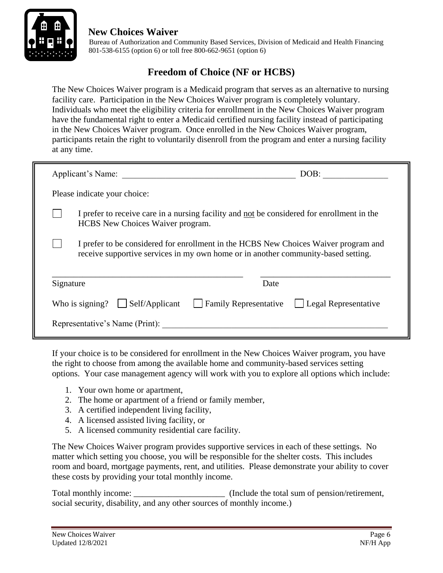

 Bureau of Authorization and Community Based Services, Division of Medicaid and Health Financing 801-538-6155 (option 6) or toll free 800-662-9651 (option 6)

## **Freedom of Choice (NF or HCBS)**

The New Choices Waiver program is a Medicaid program that serves as an alternative to nursing facility care. Participation in the New Choices Waiver program is completely voluntary. Individuals who meet the eligibility criteria for enrollment in the New Choices Waiver program have the fundamental right to enter a Medicaid certified nursing facility instead of participating in the New Choices Waiver program. Once enrolled in the New Choices Waiver program, participants retain the right to voluntarily disenroll from the program and enter a nursing facility at any time.

|           | Applicant's Name:                                                                                                                                                        |                              | DOB:                 |
|-----------|--------------------------------------------------------------------------------------------------------------------------------------------------------------------------|------------------------------|----------------------|
|           | Please indicate your choice:                                                                                                                                             |                              |                      |
|           | I prefer to receive care in a nursing facility and not be considered for enrollment in the<br><b>HCBS</b> New Choices Waiver program.                                    |                              |                      |
|           | I prefer to be considered for enrollment in the HCBS New Choices Waiver program and<br>receive supportive services in my own home or in another community-based setting. |                              |                      |
| Signature |                                                                                                                                                                          | Date                         |                      |
|           | Self/Applicant<br>Who is signing?                                                                                                                                        | <b>Family Representative</b> | Legal Representative |
|           | Representative's Name (Print):                                                                                                                                           |                              |                      |

If your choice is to be considered for enrollment in the New Choices Waiver program, you have the right to choose from among the available home and community-based services setting options. Your case management agency will work with you to explore all options which include:

- 1. Your own home or apartment,
- 2. The home or apartment of a friend or family member,
- 3. A certified independent living facility,
- 4. A licensed assisted living facility, or
- 5. A licensed community residential care facility.

The New Choices Waiver program provides supportive services in each of these settings. No matter which setting you choose, you will be responsible for the shelter costs. This includes room and board, mortgage payments, rent, and utilities. Please demonstrate your ability to cover these costs by providing your total monthly income.

Total monthly income: \_\_\_\_\_\_\_\_\_\_\_\_\_\_\_\_\_\_\_\_\_ (Include the total sum of pension/retirement, social security, disability, and any other sources of monthly income.)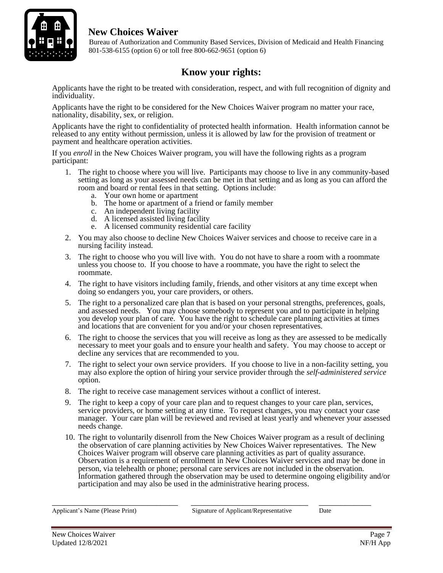

 Bureau of Authorization and Community Based Services, Division of Medicaid and Health Financing 801-538-6155 (option 6) or toll free 800-662-9651 (option 6)

# **Know your rights:**

Applicants have the right to be treated with consideration, respect, and with full recognition of dignity and individuality.

Applicants have the right to be considered for the New Choices Waiver program no matter your race, nationality, disability, sex, or religion.

Applicants have the right to confidentiality of protected health information. Health information cannot be released to any entity without permission, unless it is allowed by law for the provision of treatment or payment and healthcare operation activities.

If you *enroll* in the New Choices Waiver program, you will have the following rights as a program participant:

- 1. The right to choose where you will live. Participants may choose to live in any community-based setting as long as your assessed needs can be met in that setting and as long as you can afford the room and board or rental fees in that setting. Options include:
	- a. Your own home or apartment
	- b. The home or apartment of a friend or family member
	- c. An independent living facility
	- d. A licensed assisted living facility
	- e. A licensed community residential care facility
- 2. You may also choose to decline New Choices Waiver services and choose to receive care in a nursing facility instead.
- 3. The right to choose who you will live with. You do not have to share a room with a roommate unless you choose to. If you choose to have a roommate, you have the right to select the roommate.
- 4. The right to have visitors including family, friends, and other visitors at any time except when doing so endangers you, your care providers, or others.
- 5. The right to a personalized care plan that is based on your personal strengths, preferences, goals, and assessed needs. You may choose somebody to represent you and to participate in helping you develop your plan of care. You have the right to schedule care planning activities at times and locations that are convenient for you and/or your chosen representatives.
- 6. The right to choose the services that you will receive as long as they are assessed to be medically necessary to meet your goals and to ensure your health and safety. You may choose to accept or decline any services that are recommended to you.
- 7. The right to select your own service providers. If you choose to live in a non-facility setting, you may also explore the option of hiring your service provider through the *self-administered service* option.
- 8. The right to receive case management services without a conflict of interest.
- 9. The right to keep a copy of your care plan and to request changes to your care plan, services, service providers, or home setting at any time. To request changes, you may contact your case manager. Your care plan will be reviewed and revised at least yearly and whenever your assessed needs change.
- 10. The right to voluntarily disenroll from the New Choices Waiver program as a result of declining the observation of care planning activities by New Choices Waiver representatives. The New Choices Waiver program will observe care planning activities as part of quality assurance. Observation is a requirement of enrollment in New Choices Waiver services and may be done in person, via telehealth or phone; personal care services are not included in the observation. Information gathered through the observation may be used to determine ongoing eligibility and/or participation and may also be used in the administrative hearing process.

\_\_\_\_\_\_\_\_\_\_\_\_\_\_\_\_\_\_\_\_\_\_\_\_\_\_\_\_\_ \_\_\_\_\_\_\_\_\_\_\_\_\_\_\_\_\_\_\_\_\_\_\_\_\_\_\_ \_\_\_\_\_\_\_\_\_\_\_\_

Applicant's Name (Please Print) Signature of Applicant/Representative Date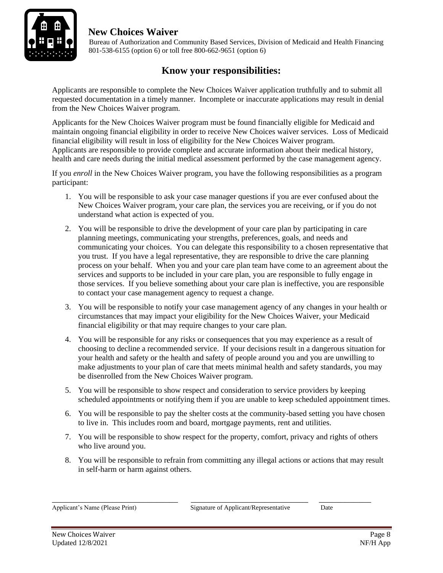

 Bureau of Authorization and Community Based Services, Division of Medicaid and Health Financing 801-538-6155 (option 6) or toll free 800-662-9651 (option 6)

# **Know your responsibilities:**

Applicants are responsible to complete the New Choices Waiver application truthfully and to submit all requested documentation in a timely manner. Incomplete or inaccurate applications may result in denial from the New Choices Waiver program.

Applicants for the New Choices Waiver program must be found financially eligible for Medicaid and maintain ongoing financial eligibility in order to receive New Choices waiver services. Loss of Medicaid financial eligibility will result in loss of eligibility for the New Choices Waiver program. Applicants are responsible to provide complete and accurate information about their medical history, health and care needs during the initial medical assessment performed by the case management agency.

If you *enroll* in the New Choices Waiver program, you have the following responsibilities as a program participant:

- 1. You will be responsible to ask your case manager questions if you are ever confused about the New Choices Waiver program, your care plan, the services you are receiving, or if you do not understand what action is expected of you.
- 2. You will be responsible to drive the development of your care plan by participating in care planning meetings, communicating your strengths, preferences, goals, and needs and communicating your choices. You can delegate this responsibility to a chosen representative that you trust. If you have a legal representative, they are responsible to drive the care planning process on your behalf. When you and your care plan team have come to an agreement about the services and supports to be included in your care plan, you are responsible to fully engage in those services. If you believe something about your care plan is ineffective, you are responsible to contact your case management agency to request a change.
- 3. You will be responsible to notify your case management agency of any changes in your health or circumstances that may impact your eligibility for the New Choices Waiver, your Medicaid financial eligibility or that may require changes to your care plan.
- 4. You will be responsible for any risks or consequences that you may experience as a result of choosing to decline a recommended service. If your decisions result in a dangerous situation for your health and safety or the health and safety of people around you and you are unwilling to make adjustments to your plan of care that meets minimal health and safety standards, you may be disenrolled from the New Choices Waiver program.
- 5. You will be responsible to show respect and consideration to service providers by keeping scheduled appointments or notifying them if you are unable to keep scheduled appointment times.
- 6. You will be responsible to pay the shelter costs at the community-based setting you have chosen to live in. This includes room and board, mortgage payments, rent and utilities.
- 7. You will be responsible to show respect for the property, comfort, privacy and rights of others who live around you.
- 8. You will be responsible to refrain from committing any illegal actions or actions that may result in self-harm or harm against others.

Applicant's Name (Please Print) Signature of Applicant/Representative Date

\_\_\_\_\_\_\_\_\_\_\_\_\_\_\_\_\_\_\_\_\_\_\_\_\_\_\_\_\_ \_\_\_\_\_\_\_\_\_\_\_\_\_\_\_\_\_\_\_\_\_\_\_\_\_\_\_ \_\_\_\_\_\_\_\_\_\_\_\_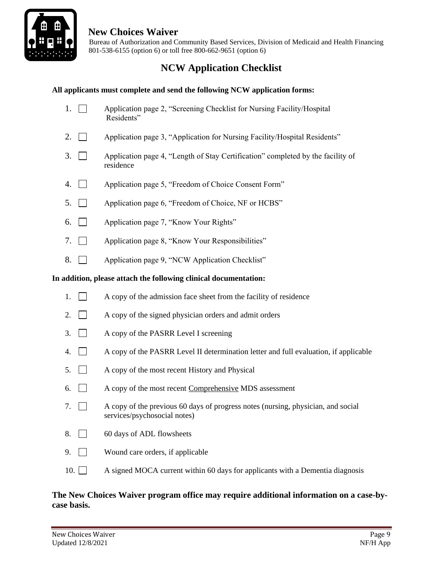

 Bureau of Authorization and Community Based Services, Division of Medicaid and Health Financing 801-538-6155 (option 6) or toll free 800-662-9651 (option 6)

# **NCW Application Checklist**

### **All applicants must complete and send the following NCW application forms:**

- 1. Application page 2, "Screening Checklist for Nursing Facility/Hospital Residents"
- 2.  $\Box$  Application page 3, "Application for Nursing Facility/Hospital Residents"
- 3.  $\Box$  Application page 4, "Length of Stay Certification" completed by the facility of residence
- 4. **Application page 5, "Freedom of Choice Consent Form"**
- 5. **Application page 6, "Freedom of Choice, NF or HCBS"**
- 6. Application page 7, "Know Your Rights"
- 7. Application page 8, "Know Your Responsibilities"
- 8. **Application page 9, "NCW Application Checklist"**

#### **In addition, please attach the following clinical documentation:**

- 1.  $\Box$  A copy of the admission face sheet from the facility of residence
- 2.  $\Box$  A copy of the signed physician orders and admit orders
- 3. A copy of the PASRR Level I screening
- 4.  $\Box$  A copy of the PASRR Level II determination letter and full evaluation, if applicable
- $5. \Box$  A copy of the most recent History and Physical
- 6.  $\Box$  A copy of the most recent Comprehensive MDS assessment
- 7.  $\Box$  A copy of the previous 60 days of progress notes (nursing, physician, and social services/psychosocial notes)
- 8. 60 days of ADL flowsheets
- 9. Wound care orders, if applicable
- 10.  $\Box$  A signed MOCA current within 60 days for applicants with a Dementia diagnosis

### **The New Choices Waiver program office may require additional information on a case-bycase basis.**